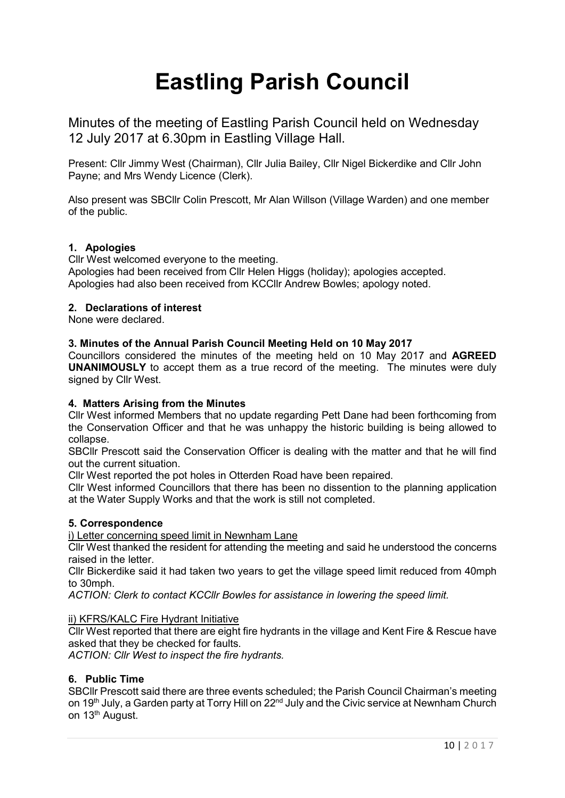# **Eastling Parish Council**

Minutes of the meeting of Eastling Parish Council held on Wednesday 12 July 2017 at 6.30pm in Eastling Village Hall.

Present: Cllr Jimmy West (Chairman), Cllr Julia Bailey, Cllr Nigel Bickerdike and Cllr John Payne; and Mrs Wendy Licence (Clerk).

Also present was SBCllr Colin Prescott, Mr Alan Willson (Village Warden) and one member of the public.

# **1. Apologies**

Cllr West welcomed everyone to the meeting.

Apologies had been received from Cllr Helen Higgs (holiday); apologies accepted. Apologies had also been received from KCCllr Andrew Bowles; apology noted.

## **2. Declarations of interest**

None were declared.

## **3. Minutes of the Annual Parish Council Meeting Held on 10 May 2017**

Councillors considered the minutes of the meeting held on 10 May 2017 and **AGREED UNANIMOUSLY** to accept them as a true record of the meeting. The minutes were duly signed by Cllr West.

## **4. Matters Arising from the Minutes**

Cllr West informed Members that no update regarding Pett Dane had been forthcoming from the Conservation Officer and that he was unhappy the historic building is being allowed to collapse.

SBCllr Prescott said the Conservation Officer is dealing with the matter and that he will find out the current situation.

Cllr West reported the pot holes in Otterden Road have been repaired.

Cllr West informed Councillors that there has been no dissention to the planning application at the Water Supply Works and that the work is still not completed.

# **5. Correspondence**

i) Letter concerning speed limit in Newnham Lane

Cllr West thanked the resident for attending the meeting and said he understood the concerns raised in the letter.

Cllr Bickerdike said it had taken two years to get the village speed limit reduced from 40mph to 30mph.

*ACTION: Clerk to contact KCCllr Bowles for assistance in lowering the speed limit.*

# ii) KFRS/KALC Fire Hydrant Initiative

Cllr West reported that there are eight fire hydrants in the village and Kent Fire & Rescue have asked that they be checked for faults.

*ACTION: Cllr West to inspect the fire hydrants.*

# **6. Public Time**

SBCllr Prescott said there are three events scheduled; the Parish Council Chairman's meeting on 19<sup>th</sup> July, a Garden party at Torry Hill on 22<sup>nd</sup> July and the Civic service at Newnham Church on 13<sup>th</sup> August.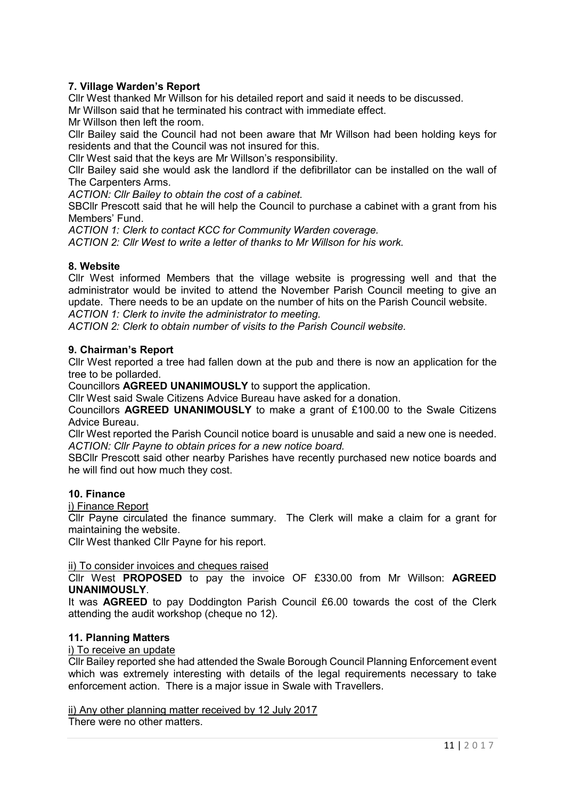# **7. Village Warden's Report**

Cllr West thanked Mr Willson for his detailed report and said it needs to be discussed.

Mr Willson said that he terminated his contract with immediate effect.

Mr Willson then left the room.

Cllr Bailey said the Council had not been aware that Mr Willson had been holding keys for residents and that the Council was not insured for this.

Cllr West said that the keys are Mr Willson's responsibility.

Cllr Bailey said she would ask the landlord if the defibrillator can be installed on the wall of The Carpenters Arms.

*ACTION: Cllr Bailey to obtain the cost of a cabinet.*

SBCllr Prescott said that he will help the Council to purchase a cabinet with a grant from his Members' Fund.

*ACTION 1: Clerk to contact KCC for Community Warden coverage. ACTION 2: Cllr West to write a letter of thanks to Mr Willson for his work.*

# **8. Website**

Cllr West informed Members that the village website is progressing well and that the administrator would be invited to attend the November Parish Council meeting to give an update. There needs to be an update on the number of hits on the Parish Council website. *ACTION 1: Clerk to invite the administrator to meeting.*

*ACTION 2: Clerk to obtain number of visits to the Parish Council website.*

## **9. Chairman's Report**

Cllr West reported a tree had fallen down at the pub and there is now an application for the tree to be pollarded.

Councillors **AGREED UNANIMOUSLY** to support the application.

Cllr West said Swale Citizens Advice Bureau have asked for a donation.

Councillors **AGREED UNANIMOUSLY** to make a grant of £100.00 to the Swale Citizens Advice Bureau.

Cllr West reported the Parish Council notice board is unusable and said a new one is needed. *ACTION: Cllr Payne to obtain prices for a new notice board.*

SBCllr Prescott said other nearby Parishes have recently purchased new notice boards and he will find out how much they cost.

## **10. Finance**

i) Finance Report

Cllr Payne circulated the finance summary. The Clerk will make a claim for a grant for maintaining the website.

Cllr West thanked Cllr Payne for his report.

#### ii) To consider invoices and cheques raised

Cllr West **PROPOSED** to pay the invoice OF £330.00 from Mr Willson: **AGREED UNANIMOUSLY**.

It was **AGREED** to pay Doddington Parish Council £6.00 towards the cost of the Clerk attending the audit workshop (cheque no 12).

#### **11. Planning Matters**

#### i) To receive an update

Cllr Bailey reported she had attended the Swale Borough Council Planning Enforcement event which was extremely interesting with details of the legal requirements necessary to take enforcement action. There is a major issue in Swale with Travellers.

#### ii) Any other planning matter received by 12 July 2017

There were no other matters.